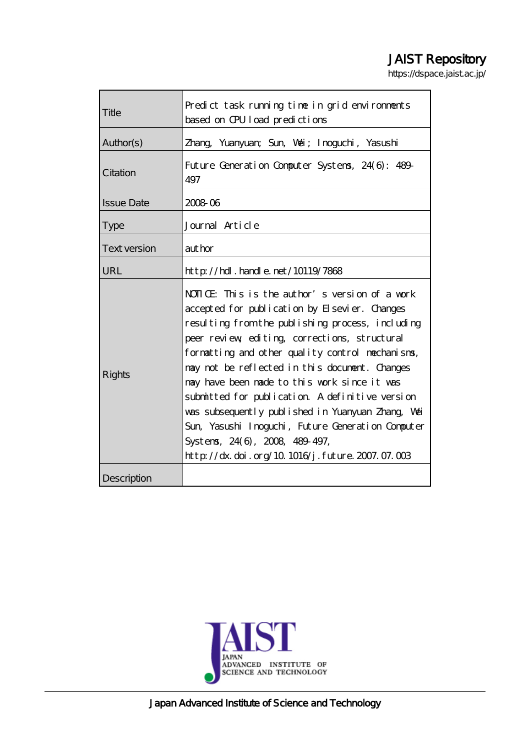# JAIST Repository

https://dspace.jaist.ac.jp/

| Title               | Predict task running time in grid environments<br>based on CPU load predictions                                                                                                                                                                                                                                                                                                                                                                                                                                                                                                                           |
|---------------------|-----------------------------------------------------------------------------------------------------------------------------------------------------------------------------------------------------------------------------------------------------------------------------------------------------------------------------------------------------------------------------------------------------------------------------------------------------------------------------------------------------------------------------------------------------------------------------------------------------------|
| Author(s)           | Zhang Yuanyuan; Sun, Wai; Inoguchi, Yasushi                                                                                                                                                                                                                                                                                                                                                                                                                                                                                                                                                               |
| Citation            | Future Generation Computer Systems, 24(6): 489-<br>497                                                                                                                                                                                                                                                                                                                                                                                                                                                                                                                                                    |
| <b>Issue Date</b>   | 2008 06                                                                                                                                                                                                                                                                                                                                                                                                                                                                                                                                                                                                   |
| <b>Type</b>         | Journal Article                                                                                                                                                                                                                                                                                                                                                                                                                                                                                                                                                                                           |
| <b>Text version</b> | author                                                                                                                                                                                                                                                                                                                                                                                                                                                                                                                                                                                                    |
| <b>URL</b>          | $http$ // $hdl$ . handle. net/10119/7868                                                                                                                                                                                                                                                                                                                                                                                                                                                                                                                                                                  |
| <b>Rights</b>       | NOTICE: This is the author's version of a work<br>accepted for publication by Elsevier. Changes<br>resulting from the publishing process, including<br>peer review editing corrections, structural<br>formatting and other quality control mechanisms,<br>may not be reflected in this document. Changes<br>may have been made to this work since it was<br>submitted for publication. A definitive version<br>was subsequently published in Yuanyuan Zhang, Wai<br>Sun, Yasushi Inoguchi, Future Generation Computer<br>Systems, 24(6), 2008, 489-497,<br>http://dx.doi.org/10.1016/j.future.2007.07.003 |
| Description         |                                                                                                                                                                                                                                                                                                                                                                                                                                                                                                                                                                                                           |

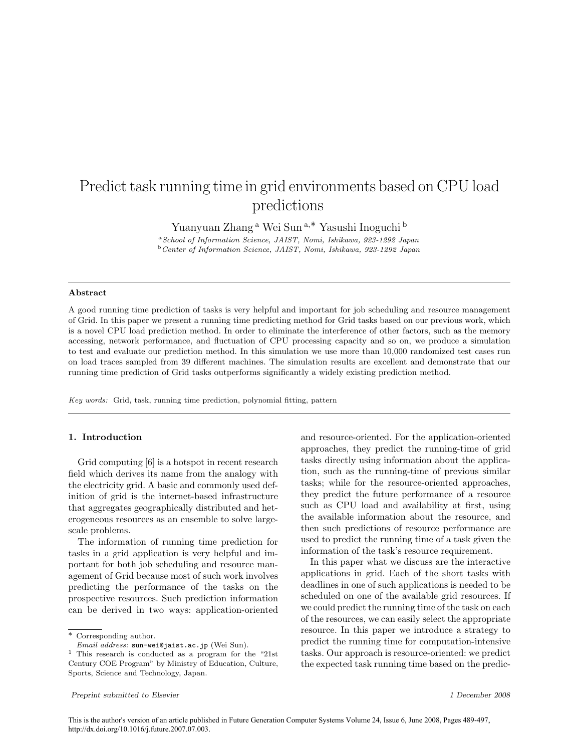# Predict task running time in grid environments based on CPU load predictions

Yuanyuan Zhang<sup>a</sup> Wei Sun<sup>a,∗</sup> Yasushi Inoguchi <sup>b</sup>

<sup>a</sup>School of Information Science, JAIST, Nomi, Ishikawa, 923-1292 Japan <sup>b</sup>Center of Information Science, JAIST, Nomi, Ishikawa, 923-1292 Japan

#### Abstract

A good running time prediction of tasks is very helpful and important for job scheduling and resource management of Grid. In this paper we present a running time predicting method for Grid tasks based on our previous work, which is a novel CPU load prediction method. In order to eliminate the interference of other factors, such as the memory accessing, network performance, and fluctuation of CPU processing capacity and so on, we produce a simulation to test and evaluate our prediction method. In this simulation we use more than 10,000 randomized test cases run on load traces sampled from 39 different machines. The simulation results are excellent and demonstrate that our running time prediction of Grid tasks outperforms significantly a widely existing prediction method.

Key words: Grid, task, running time prediction, polynomial fitting, pattern

## 1. Introduction

Grid computing [6] is a hotspot in recent research field which derives its name from the analogy with the electricity grid. A basic and commonly used definition of grid is the internet-based infrastructure that aggregates geographically distributed and heterogeneous resources as an ensemble to solve largescale problems.

The information of running time prediction for tasks in a grid application is very helpful and important for both job scheduling and resource management of Grid because most of such work involves predicting the performance of the tasks on the prospective resources. Such prediction information can be derived in two ways: application-oriented

and resource-oriented. For the application-oriented approaches, they predict the running-time of grid tasks directly using information about the application, such as the running-time of previous similar tasks; while for the resource-oriented approaches, they predict the future performance of a resource such as CPU load and availability at first, using the available information about the resource, and then such predictions of resource performance are used to predict the running time of a task given the information of the task's resource requirement.

In this paper what we discuss are the interactive applications in grid. Each of the short tasks with deadlines in one of such applications is needed to be scheduled on one of the available grid resources. If we could predict the running time of the task on each of the resources, we can easily select the appropriate resource. In this paper we introduce a strategy to predict the running time for computation-intensive tasks. Our approach is resource-oriented: we predict the expected task running time based on the predic-

<sup>∗</sup> Corresponding author.

Email address: sun-wei@jaist.ac.jp (Wei Sun).

<sup>1</sup> This research is conducted as a program for the "21st Century COE Program" by Ministry of Education, Culture, Sports, Science and Technology, Japan.

Preprint submitted to Elsevier 1 December 2008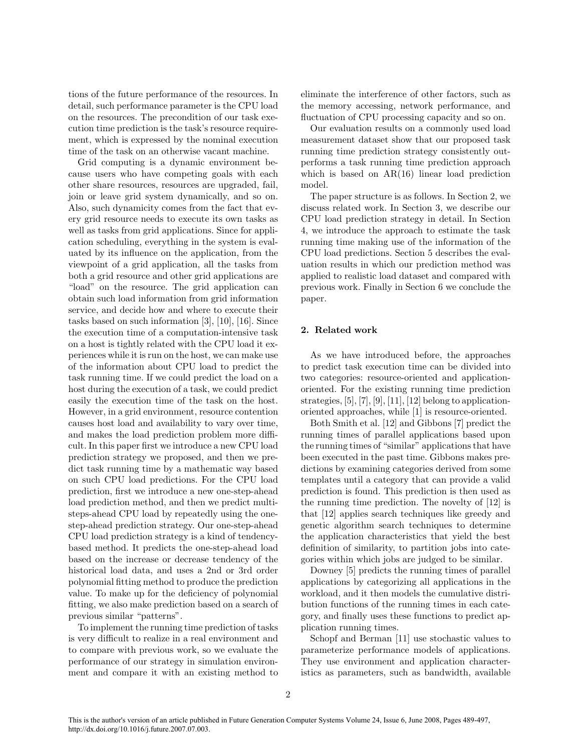tions of the future performance of the resources. In detail, such performance parameter is the CPU load on the resources. The precondition of our task execution time prediction is the task's resource requirement, which is expressed by the nominal execution time of the task on an otherwise vacant machine.

Grid computing is a dynamic environment because users who have competing goals with each other share resources, resources are upgraded, fail, join or leave grid system dynamically, and so on. Also, such dynamicity comes from the fact that every grid resource needs to execute its own tasks as well as tasks from grid applications. Since for application scheduling, everything in the system is evaluated by its influence on the application, from the viewpoint of a grid application, all the tasks from both a grid resource and other grid applications are "load" on the resource. The grid application can obtain such load information from grid information service, and decide how and where to execute their tasks based on such information [3], [10], [16]. Since the execution time of a computation-intensive task on a host is tightly related with the CPU load it experiences while it is run on the host, we can make use of the information about CPU load to predict the task running time. If we could predict the load on a host during the execution of a task, we could predict easily the execution time of the task on the host. However, in a grid environment, resource contention causes host load and availability to vary over time, and makes the load prediction problem more difficult. In this paper first we introduce a new CPU load prediction strategy we proposed, and then we predict task running time by a mathematic way based on such CPU load predictions. For the CPU load prediction, first we introduce a new one-step-ahead load prediction method, and then we predict multisteps-ahead CPU load by repeatedly using the onestep-ahead prediction strategy. Our one-step-ahead CPU load prediction strategy is a kind of tendencybased method. It predicts the one-step-ahead load based on the increase or decrease tendency of the historical load data, and uses a 2nd or 3rd order polynomial fitting method to produce the prediction value. To make up for the deficiency of polynomial fitting, we also make prediction based on a search of previous similar "patterns".

To implement the running time prediction of tasks is very difficult to realize in a real environment and to compare with previous work, so we evaluate the performance of our strategy in simulation environment and compare it with an existing method to

eliminate the interference of other factors, such as the memory accessing, network performance, and fluctuation of CPU processing capacity and so on.

Our evaluation results on a commonly used load measurement dataset show that our proposed task running time prediction strategy consistently outperforms a task running time prediction approach which is based on AR(16) linear load prediction model.

The paper structure is as follows. In Section 2, we discuss related work. In Section 3, we describe our CPU load prediction strategy in detail. In Section 4, we introduce the approach to estimate the task running time making use of the information of the CPU load predictions. Section 5 describes the evaluation results in which our prediction method was applied to realistic load dataset and compared with previous work. Finally in Section 6 we conclude the paper.

## 2. Related work

As we have introduced before, the approaches to predict task execution time can be divided into two categories: resource-oriented and applicationoriented. For the existing running time prediction strategies, [5], [7], [9], [11], [12] belong to applicationoriented approaches, while [1] is resource-oriented.

Both Smith et al. [12] and Gibbons [7] predict the running times of parallel applications based upon the running times of "similar" applications that have been executed in the past time. Gibbons makes predictions by examining categories derived from some templates until a category that can provide a valid prediction is found. This prediction is then used as the running time prediction. The novelty of [12] is that [12] applies search techniques like greedy and genetic algorithm search techniques to determine the application characteristics that yield the best definition of similarity, to partition jobs into categories within which jobs are judged to be similar.

Downey [5] predicts the running times of parallel applications by categorizing all applications in the workload, and it then models the cumulative distribution functions of the running times in each category, and finally uses these functions to predict application running times.

Schopf and Berman [11] use stochastic values to parameterize performance models of applications. They use environment and application characteristics as parameters, such as bandwidth, available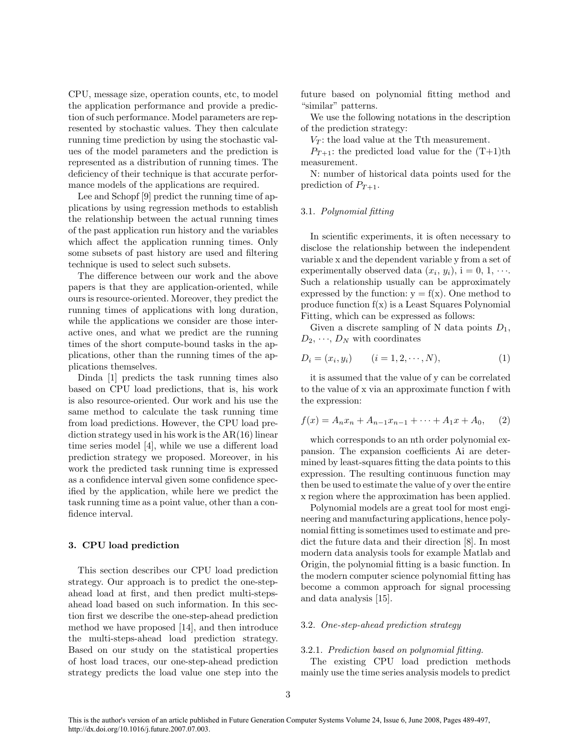CPU, message size, operation counts, etc, to model the application performance and provide a prediction of such performance. Model parameters are represented by stochastic values. They then calculate running time prediction by using the stochastic values of the model parameters and the prediction is represented as a distribution of running times. The deficiency of their technique is that accurate performance models of the applications are required.

Lee and Schopf [9] predict the running time of applications by using regression methods to establish the relationship between the actual running times of the past application run history and the variables which affect the application running times. Only some subsets of past history are used and filtering technique is used to select such subsets.

The difference between our work and the above papers is that they are application-oriented, while ours is resource-oriented. Moreover, they predict the running times of applications with long duration, while the applications we consider are those interactive ones, and what we predict are the running times of the short compute-bound tasks in the applications, other than the running times of the applications themselves.

Dinda [1] predicts the task running times also based on CPU load predictions, that is, his work is also resource-oriented. Our work and his use the same method to calculate the task running time from load predictions. However, the CPU load prediction strategy used in his work is the AR(16) linear time series model [4], while we use a different load prediction strategy we proposed. Moreover, in his work the predicted task running time is expressed as a confidence interval given some confidence specified by the application, while here we predict the task running time as a point value, other than a confidence interval.

#### 3. CPU load prediction

This section describes our CPU load prediction strategy. Our approach is to predict the one-stepahead load at first, and then predict multi-stepsahead load based on such information. In this section first we describe the one-step-ahead prediction method we have proposed [14], and then introduce the multi-steps-ahead load prediction strategy. Based on our study on the statistical properties of host load traces, our one-step-ahead prediction strategy predicts the load value one step into the future based on polynomial fitting method and "similar" patterns.

We use the following notations in the description of the prediction strategy:

 $V_T$ : the load value at the Tth measurement.

 $P_{T+1}$ : the predicted load value for the  $(T+1)$ th measurement.

N: number of historical data points used for the prediction of  $P_{T+1}$ .

#### 3.1. Polynomial fitting

In scientific experiments, it is often necessary to disclose the relationship between the independent variable x and the dependent variable y from a set of experimentally observed data  $(x_i, y_i)$ , i = 0, 1,  $\cdots$ . Such a relationship usually can be approximately expressed by the function:  $y = f(x)$ . One method to produce function f(x) is a Least Squares Polynomial Fitting, which can be expressed as follows:

Given a discrete sampling of N data points  $D_1$ ,  $D_2, \dots, D_N$  with coordinates

$$
D_i = (x_i, y_i) \qquad (i = 1, 2, \cdots, N), \tag{1}
$$

it is assumed that the value of y can be correlated to the value of x via an approximate function f with the expression:

$$
f(x) = A_n x_n + A_{n-1} x_{n-1} + \dots + A_1 x + A_0, \quad (2)
$$

which corresponds to an nth order polynomial expansion. The expansion coefficients Ai are determined by least-squares fitting the data points to this expression. The resulting continuous function may then be used to estimate the value of y over the entire x region where the approximation has been applied.

Polynomial models are a great tool for most engineering and manufacturing applications, hence polynomial fitting is sometimes used to estimate and predict the future data and their direction [8]. In most modern data analysis tools for example Matlab and Origin, the polynomial fitting is a basic function. In the modern computer science polynomial fitting has become a common approach for signal processing and data analysis [15].

#### 3.2. One-step-ahead prediction strategy

#### 3.2.1. Prediction based on polynomial fitting.

The existing CPU load prediction methods mainly use the time series analysis models to predict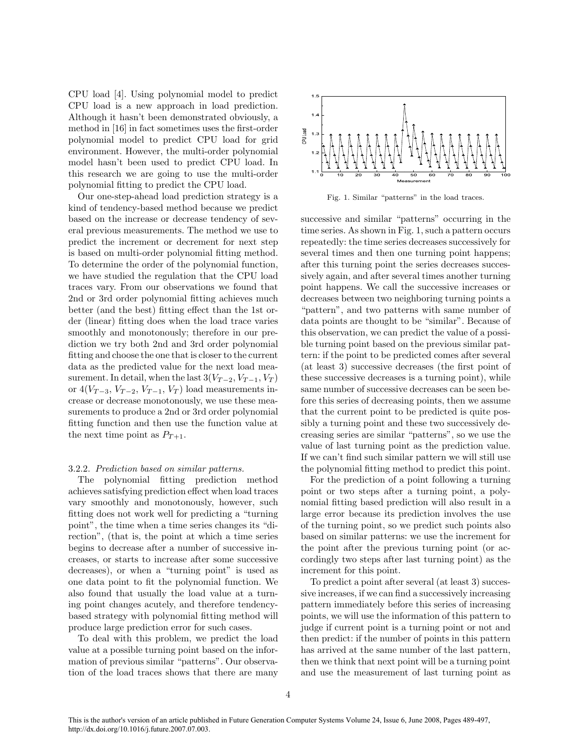CPU load [4]. Using polynomial model to predict CPU load is a new approach in load prediction. Although it hasn't been demonstrated obviously, a method in [16] in fact sometimes uses the first-order polynomial model to predict CPU load for grid environment. However, the multi-order polynomial model hasn't been used to predict CPU load. In this research we are going to use the multi-order polynomial fitting to predict the CPU load.

Our one-step-ahead load prediction strategy is a kind of tendency-based method because we predict based on the increase or decrease tendency of several previous measurements. The method we use to predict the increment or decrement for next step is based on multi-order polynomial fitting method. To determine the order of the polynomial function, we have studied the regulation that the CPU load traces vary. From our observations we found that 2nd or 3rd order polynomial fitting achieves much better (and the best) fitting effect than the 1st order (linear) fitting does when the load trace varies smoothly and monotonously; therefore in our prediction we try both 2nd and 3rd order polynomial fitting and choose the one that is closer to the current data as the predicted value for the next load measurement. In detail, when the last  $3(V_{T-2}, V_{T-1}, V_T)$ or  $4(V_{T-3}, V_{T-2}, V_{T-1}, V_T)$  load measurements increase or decrease monotonously, we use these measurements to produce a 2nd or 3rd order polynomial fitting function and then use the function value at the next time point as  $P_{T+1}$ .

### 3.2.2. Prediction based on similar patterns.

The polynomial fitting prediction method achieves satisfying prediction effect when load traces vary smoothly and monotonously, however, such fitting does not work well for predicting a "turning point", the time when a time series changes its "direction", (that is, the point at which a time series begins to decrease after a number of successive increases, or starts to increase after some successive decreases), or when a "turning point" is used as one data point to fit the polynomial function. We also found that usually the load value at a turning point changes acutely, and therefore tendencybased strategy with polynomial fitting method will produce large prediction error for such cases.

To deal with this problem, we predict the load value at a possible turning point based on the information of previous similar "patterns". Our observation of the load traces shows that there are many



Fig. 1. Similar "patterns" in the load traces.

successive and similar "patterns" occurring in the time series. As shown in Fig. 1, such a pattern occurs repeatedly: the time series decreases successively for several times and then one turning point happens; after this turning point the series decreases successively again, and after several times another turning point happens. We call the successive increases or decreases between two neighboring turning points a "pattern", and two patterns with same number of data points are thought to be "similar". Because of this observation, we can predict the value of a possible turning point based on the previous similar pattern: if the point to be predicted comes after several (at least 3) successive decreases (the first point of these successive decreases is a turning point), while same number of successive decreases can be seen before this series of decreasing points, then we assume that the current point to be predicted is quite possibly a turning point and these two successively decreasing series are similar "patterns", so we use the value of last turning point as the prediction value. If we can't find such similar pattern we will still use the polynomial fitting method to predict this point.

For the prediction of a point following a turning point or two steps after a turning point, a polynomial fitting based prediction will also result in a large error because its prediction involves the use of the turning point, so we predict such points also based on similar patterns: we use the increment for the point after the previous turning point (or accordingly two steps after last turning point) as the increment for this point.

To predict a point after several (at least 3) successive increases, if we can find a successively increasing pattern immediately before this series of increasing points, we will use the information of this pattern to judge if current point is a turning point or not and then predict: if the number of points in this pattern has arrived at the same number of the last pattern, then we think that next point will be a turning point and use the measurement of last turning point as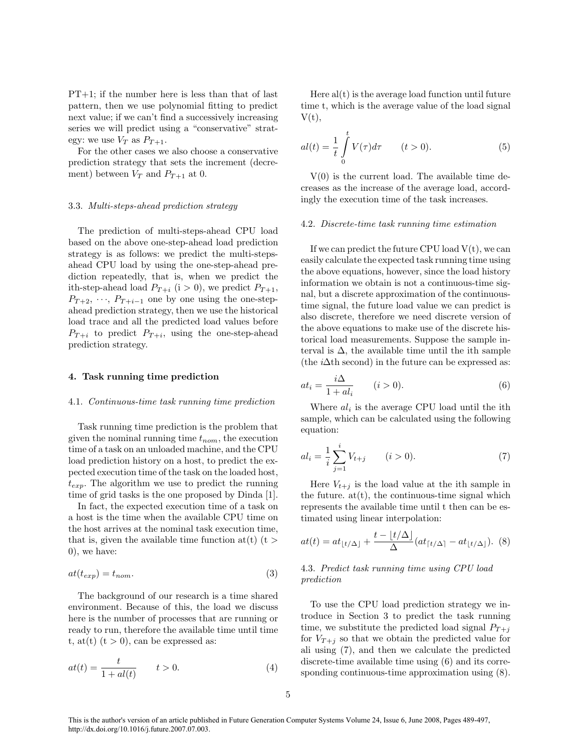PT+1; if the number here is less than that of last pattern, then we use polynomial fitting to predict next value; if we can't find a successively increasing series we will predict using a "conservative" strategy: we use  $V_T$  as  $P_{T+1}$ .

For the other cases we also choose a conservative prediction strategy that sets the increment (decrement) between  $V_T$  and  $P_{T+1}$  at 0.

#### 3.3. Multi-steps-ahead prediction strategy

The prediction of multi-steps-ahead CPU load based on the above one-step-ahead load prediction strategy is as follows: we predict the multi-stepsahead CPU load by using the one-step-ahead prediction repeatedly, that is, when we predict the ith-step-ahead load  $P_{T+i}$  (i > 0), we predict  $P_{T+1}$ ,  $P_{T+2}, \dots, P_{T+i-1}$  one by one using the one-stepahead prediction strategy, then we use the historical load trace and all the predicted load values before  $P_{T+i}$  to predict  $P_{T+i}$ , using the one-step-ahead prediction strategy.

## 4. Task running time prediction

#### 4.1. Continuous-time task running time prediction

Task running time prediction is the problem that given the nominal running time  $t_{nom}$ , the execution time of a task on an unloaded machine, and the CPU load prediction history on a host, to predict the expected execution time of the task on the loaded host,  $t_{exp}$ . The algorithm we use to predict the running time of grid tasks is the one proposed by Dinda [1].

In fact, the expected execution time of a task on a host is the time when the available CPU time on the host arrives at the nominal task execution time, that is, given the available time function at  $(t)$  (t > 0), we have:

$$
at(t_{exp}) = t_{nom}.\tag{3}
$$

The background of our research is a time shared environment. Because of this, the load we discuss here is the number of processes that are running or ready to run, therefore the available time until time t, at(t)  $(t > 0)$ , can be expressed as:

$$
at(t) = \frac{t}{1 + al(t)} \qquad t > 0.
$$
\n<sup>(4)</sup>

Here  $al(t)$  is the average load function until future time t, which is the average value of the load signal  $V(t)$ ,

$$
al(t) = \frac{1}{t} \int_{0}^{t} V(\tau) d\tau \qquad (t > 0).
$$
 (5)

 $V(0)$  is the current load. The available time decreases as the increase of the average load, accordingly the execution time of the task increases.

#### 4.2. Discrete-time task running time estimation

If we can predict the future CPU load  $V(t)$ , we can easily calculate the expected task running time using the above equations, however, since the load history information we obtain is not a continuous-time signal, but a discrete approximation of the continuoustime signal, the future load value we can predict is also discrete, therefore we need discrete version of the above equations to make use of the discrete historical load measurements. Suppose the sample interval is  $\Delta$ , the available time until the ith sample (the  $i\Delta$ th second) in the future can be expressed as:

$$
at_i = \frac{i\Delta}{1 + al_i} \qquad (i > 0). \tag{6}
$$

Where  $al_i$  is the average CPU load until the ith sample, which can be calculated using the following equation:

$$
al_i = \frac{1}{i} \sum_{j=1}^{i} V_{t+j} \qquad (i > 0).
$$
 (7)

Here  $V_{t+j}$  is the load value at the ith sample in the future.  $at(t)$ , the continuous-time signal which represents the available time until t then can be estimated using linear interpolation:

$$
at(t) = at_{\lfloor t/\Delta \rfloor} + \frac{t - \lfloor t/\Delta \rfloor}{\Delta} (at_{\lceil t/\Delta \rceil} - at_{\lfloor t/\Delta \rfloor}). \tag{8}
$$

# 4.3. Predict task running time using CPU load prediction

To use the CPU load prediction strategy we introduce in Section 3 to predict the task running time, we substitute the predicted load signal  $P_{T+i}$ for  $V_{T+i}$  so that we obtain the predicted value for ali using (7), and then we calculate the predicted discrete-time available time using (6) and its corresponding continuous-time approximation using (8).

This is the author's version of an article published in Future Generation Computer Systems Volume 24, Issue 6, June 2008, Pages 489-497, http://dx.doi.org/10.1016/j.future.2007.07.003.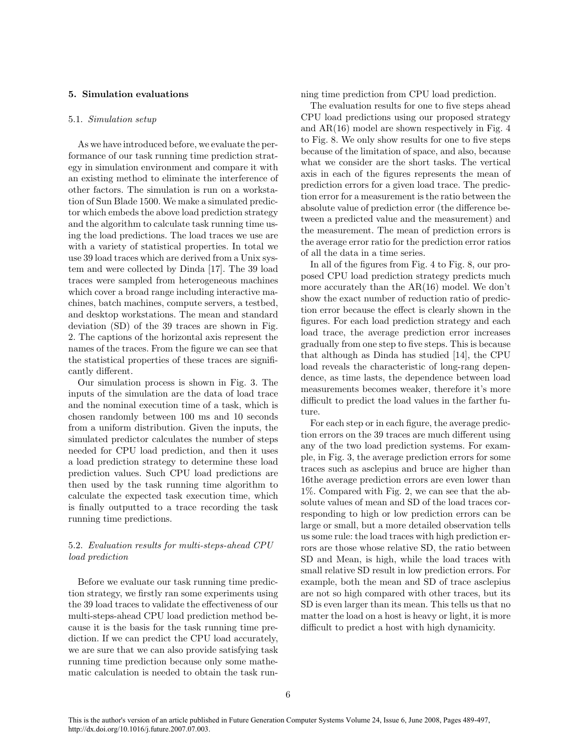## 5. Simulation evaluations

#### 5.1. Simulation setup

As we have introduced before, we evaluate the performance of our task running time prediction strategy in simulation environment and compare it with an existing method to eliminate the interference of other factors. The simulation is run on a workstation of Sun Blade 1500. We make a simulated predictor which embeds the above load prediction strategy and the algorithm to calculate task running time using the load predictions. The load traces we use are with a variety of statistical properties. In total we use 39 load traces which are derived from a Unix system and were collected by Dinda [17]. The 39 load traces were sampled from heterogeneous machines which cover a broad range including interactive machines, batch machines, compute servers, a testbed, and desktop workstations. The mean and standard deviation (SD) of the 39 traces are shown in Fig. 2. The captions of the horizontal axis represent the names of the traces. From the figure we can see that the statistical properties of these traces are significantly different.

Our simulation process is shown in Fig. 3. The inputs of the simulation are the data of load trace and the nominal execution time of a task, which is chosen randomly between 100 ms and 10 seconds from a uniform distribution. Given the inputs, the simulated predictor calculates the number of steps needed for CPU load prediction, and then it uses a load prediction strategy to determine these load prediction values. Such CPU load predictions are then used by the task running time algorithm to calculate the expected task execution time, which is finally outputted to a trace recording the task running time predictions.

# 5.2. Evaluation results for multi-steps-ahead CPU load prediction

Before we evaluate our task running time prediction strategy, we firstly ran some experiments using the 39 load traces to validate the effectiveness of our multi-steps-ahead CPU load prediction method because it is the basis for the task running time prediction. If we can predict the CPU load accurately, we are sure that we can also provide satisfying task running time prediction because only some mathematic calculation is needed to obtain the task running time prediction from CPU load prediction.

The evaluation results for one to five steps ahead CPU load predictions using our proposed strategy and AR(16) model are shown respectively in Fig. 4 to Fig. 8. We only show results for one to five steps because of the limitation of space, and also, because what we consider are the short tasks. The vertical axis in each of the figures represents the mean of prediction errors for a given load trace. The prediction error for a measurement is the ratio between the absolute value of prediction error (the difference between a predicted value and the measurement) and the measurement. The mean of prediction errors is the average error ratio for the prediction error ratios of all the data in a time series.

In all of the figures from Fig. 4 to Fig. 8, our proposed CPU load prediction strategy predicts much more accurately than the AR(16) model. We don't show the exact number of reduction ratio of prediction error because the effect is clearly shown in the figures. For each load prediction strategy and each load trace, the average prediction error increases gradually from one step to five steps. This is because that although as Dinda has studied [14], the CPU load reveals the characteristic of long-rang dependence, as time lasts, the dependence between load measurements becomes weaker, therefore it's more difficult to predict the load values in the farther future.

For each step or in each figure, the average prediction errors on the 39 traces are much different using any of the two load prediction systems. For example, in Fig. 3, the average prediction errors for some traces such as asclepius and bruce are higher than 16the average prediction errors are even lower than 1%. Compared with Fig. 2, we can see that the absolute values of mean and SD of the load traces corresponding to high or low prediction errors can be large or small, but a more detailed observation tells us some rule: the load traces with high prediction errors are those whose relative SD, the ratio between SD and Mean, is high, while the load traces with small relative SD result in low prediction errors. For example, both the mean and SD of trace asclepius are not so high compared with other traces, but its SD is even larger than its mean. This tells us that no matter the load on a host is heavy or light, it is more difficult to predict a host with high dynamicity.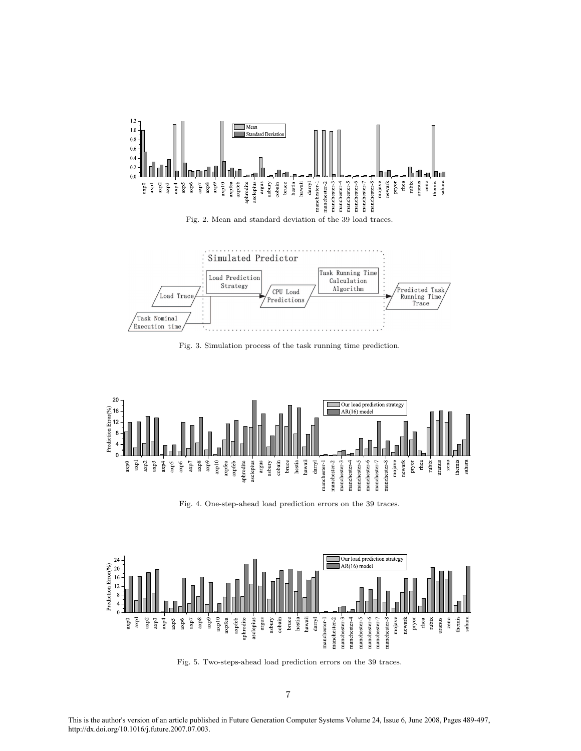

Fig. 2. Mean and standard deviation of the 39 load traces.



Fig. 3. Simulation process of the task running time prediction.



Fig. 4. One-step-ahead load prediction errors on the 39 traces.



Fig. 5. Two-steps-ahead load prediction errors on the 39 traces.

This is the author's version of an article published in Future Generation Computer Systems Volume 24, Issue 6, June 2008, Pages 489-497, http://dx.doi.org/10.1016/j.future.2007.07.003.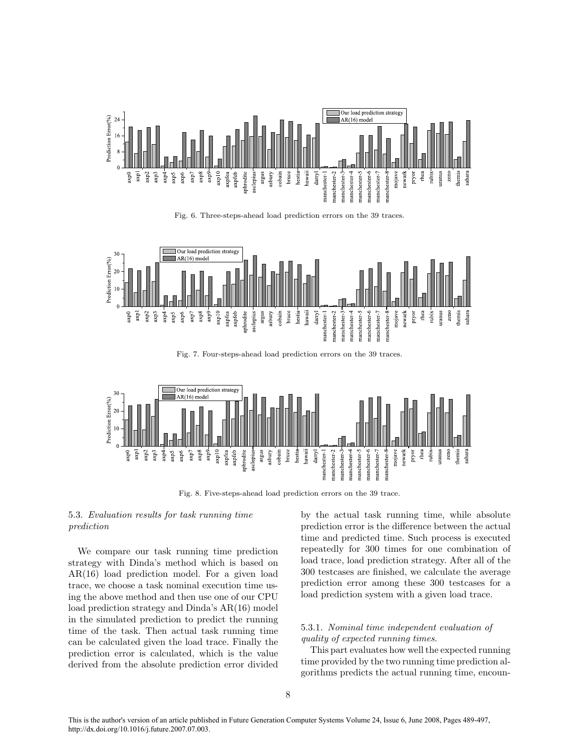

Fig. 6. Three-steps-ahead load prediction errors on the 39 traces.



Fig. 7. Four-steps-ahead load prediction errors on the 39 traces.



Fig. 8. Five-steps-ahead load prediction errors on the 39 trace.

# 5.3. Evaluation results for task running time prediction

We compare our task running time prediction strategy with Dinda's method which is based on AR(16) load prediction model. For a given load trace, we choose a task nominal execution time using the above method and then use one of our CPU load prediction strategy and Dinda's AR(16) model in the simulated prediction to predict the running time of the task. Then actual task running time can be calculated given the load trace. Finally the prediction error is calculated, which is the value derived from the absolute prediction error divided

by the actual task running time, while absolute prediction error is the difference between the actual time and predicted time. Such process is executed repeatedly for 300 times for one combination of load trace, load prediction strategy. After all of the 300 testcases are finished, we calculate the average prediction error among these 300 testcases for a load prediction system with a given load trace.

# 5.3.1. Nominal time independent evaluation of quality of expected running times.

This part evaluates how well the expected running time provided by the two running time prediction algorithms predicts the actual running time, encoun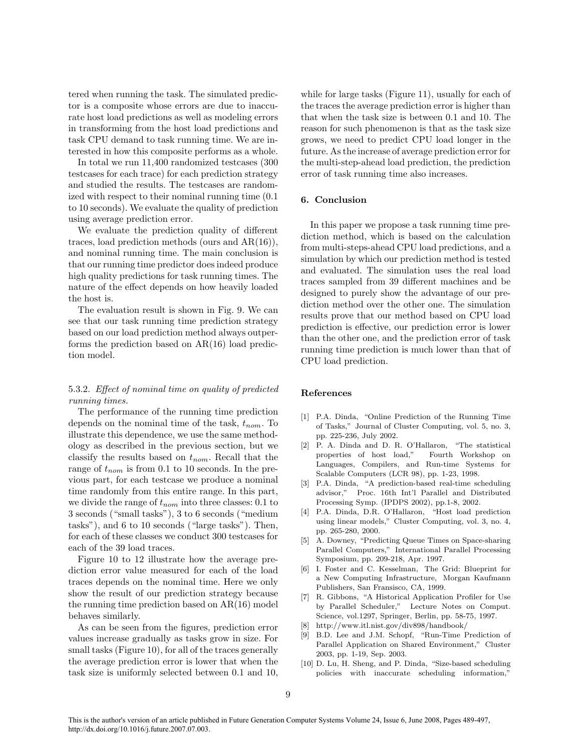tered when running the task. The simulated predictor is a composite whose errors are due to inaccurate host load predictions as well as modeling errors in transforming from the host load predictions and task CPU demand to task running time. We are interested in how this composite performs as a whole.

In total we run 11,400 randomized testcases (300 testcases for each trace) for each prediction strategy and studied the results. The testcases are randomized with respect to their nominal running time (0.1 to 10 seconds). We evaluate the quality of prediction using average prediction error.

We evaluate the prediction quality of different traces, load prediction methods (ours and AR(16)), and nominal running time. The main conclusion is that our running time predictor does indeed produce high quality predictions for task running times. The nature of the effect depends on how heavily loaded the host is.

The evaluation result is shown in Fig. 9. We can see that our task running time prediction strategy based on our load prediction method always outperforms the prediction based on AR(16) load prediction model.

# 5.3.2. Effect of nominal time on quality of predicted running times.

The performance of the running time prediction depends on the nominal time of the task,  $t_{nom}$ . To illustrate this dependence, we use the same methodology as described in the previous section, but we classify the results based on  $t_{nom}$ . Recall that the range of  $t_{nom}$  is from 0.1 to 10 seconds. In the previous part, for each testcase we produce a nominal time randomly from this entire range. In this part, we divide the range of  $t_{nom}$  into three classes: 0.1 to 3 seconds ("small tasks"), 3 to 6 seconds ("medium tasks"), and 6 to 10 seconds ("large tasks"). Then, for each of these classes we conduct 300 testcases for each of the 39 load traces.

Figure 10 to 12 illustrate how the average prediction error value measured for each of the load traces depends on the nominal time. Here we only show the result of our prediction strategy because the running time prediction based on AR(16) model behaves similarly.

As can be seen from the figures, prediction error values increase gradually as tasks grow in size. For small tasks (Figure 10), for all of the traces generally the average prediction error is lower that when the task size is uniformly selected between 0.1 and 10,

while for large tasks (Figure 11), usually for each of the traces the average prediction error is higher than that when the task size is between 0.1 and 10. The reason for such phenomenon is that as the task size grows, we need to predict CPU load longer in the future. As the increase of average prediction error for the multi-step-ahead load prediction, the prediction error of task running time also increases.

## 6. Conclusion

In this paper we propose a task running time prediction method, which is based on the calculation from multi-steps-ahead CPU load predictions, and a simulation by which our prediction method is tested and evaluated. The simulation uses the real load traces sampled from 39 different machines and be designed to purely show the advantage of our prediction method over the other one. The simulation results prove that our method based on CPU load prediction is effective, our prediction error is lower than the other one, and the prediction error of task running time prediction is much lower than that of CPU load prediction.

## References

- [1] P.A. Dinda, "Online Prediction of the Running Time of Tasks," Journal of Cluster Computing, vol. 5, no. 3, pp. 225-236, July 2002.
- [2] P. A. Dinda and D. R. O'Hallaron, "The statistical properties of host load," Fourth Workshop on Languages, Compilers, and Run-time Systems for Scalable Computers (LCR 98), pp. 1-23, 1998.
- [3] P.A. Dinda, "A prediction-based real-time scheduling advisor," Proc. 16th Int'l Parallel and Distributed Processing Symp. (IPDPS 2002), pp.1-8, 2002.
- [4] P.A. Dinda, D.R. O'Hallaron, "Host load prediction using linear models," Cluster Computing, vol. 3, no. 4, pp. 265-280, 2000.
- [5] A. Downey, "Predicting Queue Times on Space-sharing Parallel Computers," International Parallel Processing Symposium, pp. 209-218, Apr. 1997.
- [6] I. Foster and C. Kesselman, The Grid: Blueprint for a New Computing Infrastructure, Morgan Kaufmann Publishers, San Fransisco, CA, 1999.
- [7] R. Gibbons, "A Historical Application Profiler for Use by Parallel Scheduler," Lecture Notes on Comput. Science, vol.1297, Springer, Berlin, pp. 58-75, 1997.
- [8] http://www.itl.nist.gov/div898/handbook/
- [9] B.D. Lee and J.M. Schopf, "Run-Time Prediction of Parallel Application on Shared Environment," Cluster 2003, pp. 1-19, Sep. 2003.
- [10] D. Lu, H. Sheng, and P. Dinda, "Size-based scheduling policies with inaccurate scheduling information,"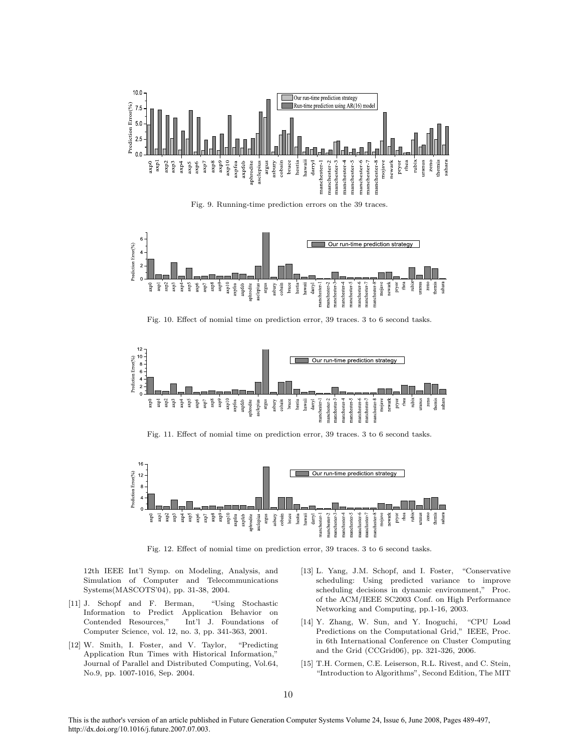

Fig. 9. Running-time prediction errors on the 39 traces.



Fig. 10. Effect of nomial time on prediction error, 39 traces. 3 to 6 second tasks.



Fig. 11. Effect of nomial time on prediction error, 39 traces. 3 to 6 second tasks.



Fig. 12. Effect of nomial time on prediction error, 39 traces. 3 to 6 second tasks.

12th IEEE Int'l Symp. on Modeling, Analysis, and Simulation of Computer and Telecommunications Systems(MASCOTS'04), pp. 31-38, 2004.

- [11] J. Schopf and F. Berman, "Using Stochastic Information to Predict Application Behavior on Contended Resources," Int'l J. Foundations of Computer Science, vol. 12, no. 3, pp. 341-363, 2001.
- [12] W. Smith, I. Foster, and V. Taylor, "Predicting Application Run Times with Historical Information," Journal of Parallel and Distributed Computing, Vol.64, No.9, pp. 1007-1016, Sep. 2004.
- [13] L. Yang, J.M. Schopf, and I. Foster, "Conservative scheduling: Using predicted variance to improve scheduling decisions in dynamic environment," Proc. of the ACM/IEEE SC2003 Conf. on High Performance Networking and Computing, pp.1-16, 2003.
- [14] Y. Zhang, W. Sun, and Y. Inoguchi, "CPU Load Predictions on the Computational Grid," IEEE, Proc. in 6th International Conference on Cluster Computing and the Grid (CCGrid06), pp. 321-326, 2006.
- [15] T.H. Cormen, C.E. Leiserson, R.L. Rivest, and C. Stein, "Introduction to Algorithms", Second Edition, The MIT